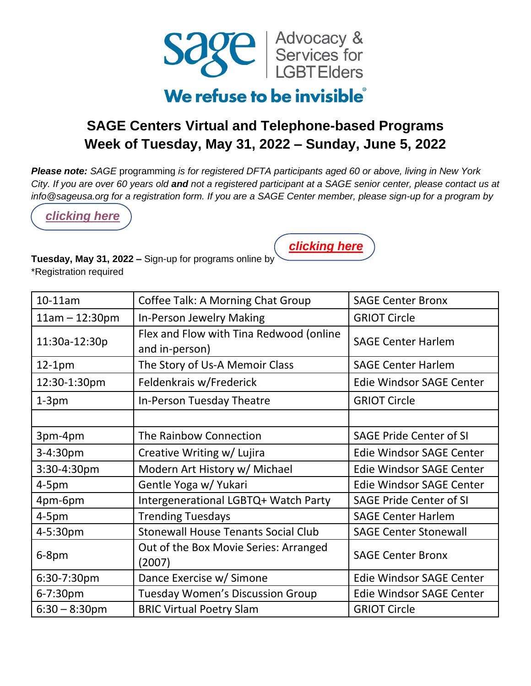

### We refuse to be invisible

### **SAGE Centers Virtual and Telephone-based Programs Week of Tuesday, May 31, 2022 – Sunday, June 5, 2022**

*Please note: SAGE* programming *is for registered DFTA participants aged 60 or above, living in New York City. If you are over 60 years old and not a registered participant at a SAGE senior center, please contact us at info@sageusa.org for a registration form. If you are a SAGE Center member, please sign-up for a program by* 

*[clicking here](https://app.smartsheet.com/b/form/d6c137f59f6044ad8d03ec92f45a9c1c)*



**Tuesday, May 31, 2022 –** Sign-up for programs online by \*Registration required

| $10-11$ am       | Coffee Talk: A Morning Chat Group                         | <b>SAGE Center Bronx</b>        |
|------------------|-----------------------------------------------------------|---------------------------------|
| $11am - 12:30pm$ | In-Person Jewelry Making                                  | <b>GRIOT Circle</b>             |
| 11:30a-12:30p    | Flex and Flow with Tina Redwood (online<br>and in-person) | <b>SAGE Center Harlem</b>       |
| $12-1pm$         | The Story of Us-A Memoir Class                            | <b>SAGE Center Harlem</b>       |
| 12:30-1:30pm     | Feldenkrais w/Frederick                                   | Edie Windsor SAGE Center        |
| $1-3pm$          | In-Person Tuesday Theatre                                 | <b>GRIOT Circle</b>             |
|                  |                                                           |                                 |
| 3pm-4pm          | The Rainbow Connection                                    | <b>SAGE Pride Center of SI</b>  |
| 3-4:30pm         | Creative Writing w/ Lujira                                | Edie Windsor SAGE Center        |
| 3:30-4:30pm      | Modern Art History w/ Michael                             | <b>Edie Windsor SAGE Center</b> |
| $4-5pm$          | Gentle Yoga w/ Yukari                                     | <b>Edie Windsor SAGE Center</b> |
| 4pm-6pm          | Intergenerational LGBTQ+ Watch Party                      | <b>SAGE Pride Center of SI</b>  |
| $4-5pm$          | <b>Trending Tuesdays</b>                                  | <b>SAGE Center Harlem</b>       |
| 4-5:30pm         | <b>Stonewall House Tenants Social Club</b>                | <b>SAGE Center Stonewall</b>    |
| $6-8$ pm         | Out of the Box Movie Series: Arranged<br>(2007)           | <b>SAGE Center Bronx</b>        |
| 6:30-7:30pm      | Dance Exercise w/ Simone                                  | <b>Edie Windsor SAGE Center</b> |
| 6-7:30pm         | <b>Tuesday Women's Discussion Group</b>                   | Edie Windsor SAGE Center        |
| $6:30 - 8:30$ pm | <b>BRIC Virtual Poetry Slam</b>                           | <b>GRIOT Circle</b>             |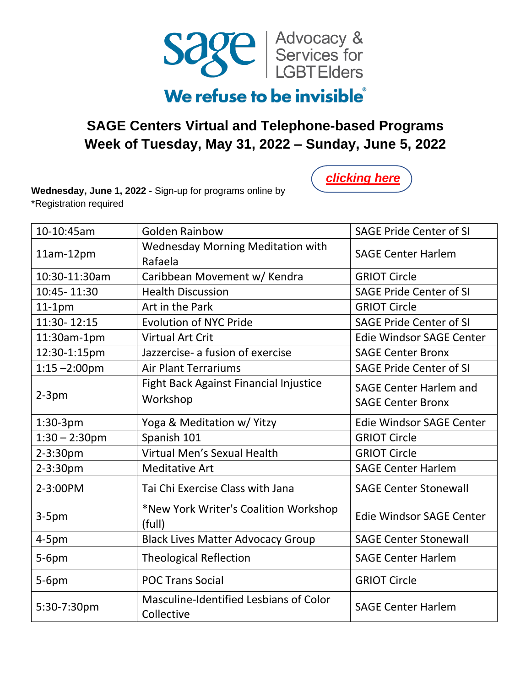

#### **SAGE Centers Virtual and Telephone-based Programs Week of Tuesday, May 31, 2022 – Sunday, June 5, 2022**

*[clicking here](https://app.smartsheet.com/b/form/d6c137f59f6044ad8d03ec92f45a9c1c)*

**Wednesday, June 1, 2022 -** Sign-up for programs online by \*Registration required

| 10-10:45am       | <b>Golden Rainbow</b>                                | <b>SAGE Pride Center of SI</b>  |
|------------------|------------------------------------------------------|---------------------------------|
| 11am-12pm        | <b>Wednesday Morning Meditation with</b><br>Rafaela  | <b>SAGE Center Harlem</b>       |
| 10:30-11:30am    | Caribbean Movement w/ Kendra                         | <b>GRIOT Circle</b>             |
| 10:45-11:30      | <b>Health Discussion</b>                             | <b>SAGE Pride Center of SI</b>  |
| $11-1pm$         | Art in the Park                                      | <b>GRIOT Circle</b>             |
| 11:30-12:15      | <b>Evolution of NYC Pride</b>                        | <b>SAGE Pride Center of SI</b>  |
| 11:30am-1pm      | <b>Virtual Art Crit</b>                              | Edie Windsor SAGE Center        |
| 12:30-1:15pm     | Jazzercise- a fusion of exercise                     | <b>SAGE Center Bronx</b>        |
| $1:15 - 2:00$ pm | <b>Air Plant Terrariums</b>                          | <b>SAGE Pride Center of SI</b>  |
|                  | Fight Back Against Financial Injustice               | <b>SAGE Center Harlem and</b>   |
| $2-3pm$          | Workshop                                             | <b>SAGE Center Bronx</b>        |
| 1:30-3pm         | Yoga & Meditation w/ Yitzy                           | <b>Edie Windsor SAGE Center</b> |
| $1:30 - 2:30$ pm | Spanish 101                                          | <b>GRIOT Circle</b>             |
| 2-3:30pm         | Virtual Men's Sexual Health                          | <b>GRIOT Circle</b>             |
| $2 - 3:30pm$     | <b>Meditative Art</b>                                | <b>SAGE Center Harlem</b>       |
| 2-3:00PM         | Tai Chi Exercise Class with Jana                     | <b>SAGE Center Stonewall</b>    |
| $3-5pm$          | *New York Writer's Coalition Workshop<br>(full)      | <b>Edie Windsor SAGE Center</b> |
| $4-5pm$          | <b>Black Lives Matter Advocacy Group</b>             | <b>SAGE Center Stonewall</b>    |
| 5-6pm            | <b>Theological Reflection</b>                        | <b>SAGE Center Harlem</b>       |
| $5-6pm$          | <b>POC Trans Social</b>                              | <b>GRIOT Circle</b>             |
| 5:30-7:30pm      | Masculine-Identified Lesbians of Color<br>Collective | <b>SAGE Center Harlem</b>       |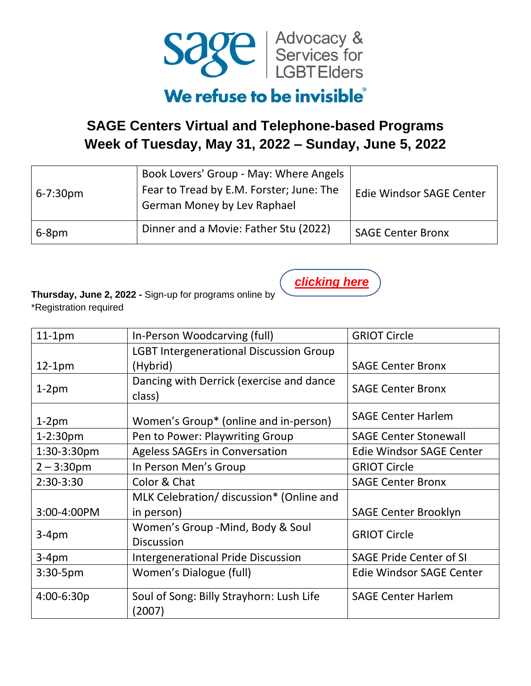

### **SAGE Centers Virtual and Telephone-based Programs Week of Tuesday, May 31, 2022 – Sunday, June 5, 2022**

| $6 - 7:30pm$ | Book Lovers' Group - May: Where Angels<br>Fear to Tread by E.M. Forster; June: The<br><b>German Money by Lev Raphael</b> | Edie Windsor SAGE Center |
|--------------|--------------------------------------------------------------------------------------------------------------------------|--------------------------|
| 6-8pm        | Dinner and a Movie: Father Stu (2022)                                                                                    | <b>SAGE Center Bronx</b> |

*[clicking here](https://app.smartsheet.com/b/form/d6c137f59f6044ad8d03ec92f45a9c1c)*

**Thursday, June 2, 2022 -** Sign-up for programs online by \*Registration required

| $11-1pm$       | In-Person Woodcarving (full)                   | <b>GRIOT Circle</b>             |
|----------------|------------------------------------------------|---------------------------------|
|                | <b>LGBT Intergenerational Discussion Group</b> |                                 |
| $12-1pm$       | (Hybrid)                                       | <b>SAGE Center Bronx</b>        |
|                | Dancing with Derrick (exercise and dance       | <b>SAGE Center Bronx</b>        |
| $1-2pm$        | class)                                         |                                 |
| $1-2pm$        | Women's Group* (online and in-person)          | <b>SAGE Center Harlem</b>       |
| $1 - 2:30pm$   | Pen to Power: Playwriting Group                | <b>SAGE Center Stonewall</b>    |
| 1:30-3:30pm    | <b>Ageless SAGErs in Conversation</b>          | <b>Edie Windsor SAGE Center</b> |
| $2 - 3:30$ pm  | In Person Men's Group                          | <b>GRIOT Circle</b>             |
| 2:30-3:30      | Color & Chat                                   | <b>SAGE Center Bronx</b>        |
|                | MLK Celebration/ discussion* (Online and       |                                 |
| 3:00-4:00PM    | in person)                                     | <b>SAGE Center Brooklyn</b>     |
|                | Women's Group -Mind, Body & Soul               | <b>GRIOT Circle</b>             |
| $3-4pm$        | <b>Discussion</b>                              |                                 |
| $3-4pm$        | <b>Intergenerational Pride Discussion</b>      | <b>SAGE Pride Center of SI</b>  |
| 3:30-5pm       | Women's Dialogue (full)                        | Edie Windsor SAGE Center        |
| $4:00 - 6:30p$ | Soul of Song: Billy Strayhorn: Lush Life       | <b>SAGE Center Harlem</b>       |
|                | (2007)                                         |                                 |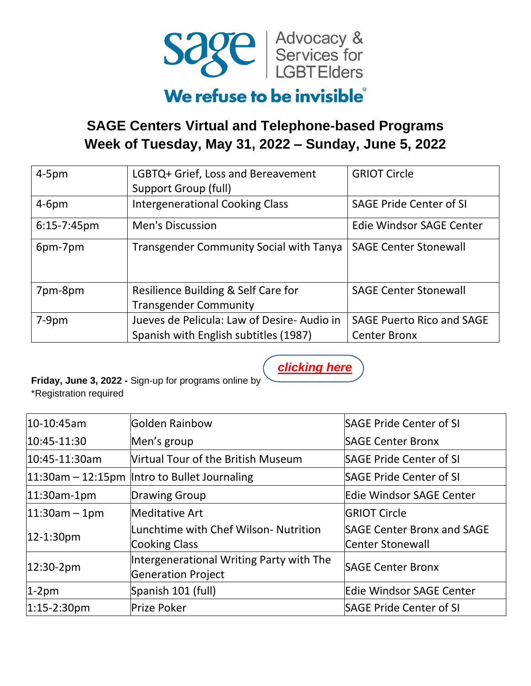

### **SAGE Centers Virtual and Telephone-based Programs Week of Tuesday, May 31, 2022 – Sunday, June 5, 2022**

| $4-5pm$     | LGBTQ+ Grief, Loss and Bereavement<br>Support Group (full)                          | <b>GRIOT Circle</b>                                     |
|-------------|-------------------------------------------------------------------------------------|---------------------------------------------------------|
| $4-6pm$     | <b>Intergenerational Cooking Class</b>                                              | <b>SAGE Pride Center of SI</b>                          |
| 6:15-7:45pm | <b>Men's Discussion</b>                                                             | Edie Windsor SAGE Center                                |
| 6pm-7pm     | <b>Transgender Community Social with Tanya</b>                                      | <b>SAGE Center Stonewall</b>                            |
| 7pm-8pm     | Resilience Building & Self Care for<br><b>Transgender Community</b>                 | <b>SAGE Center Stonewall</b>                            |
| $7-9pm$     | Jueves de Pelicula: Law of Desire-Audio in<br>Spanish with English subtitles (1987) | <b>SAGE Puerto Rico and SAGE</b><br><b>Center Bronx</b> |

*[clicking here](https://app.smartsheet.com/b/form/d6c137f59f6044ad8d03ec92f45a9c1c)*

**Friday, June 3, 2022 -** Sign-up for programs online by \*Registration required

| 10-10:45am        | Golden Rainbow                                                        | <b>SAGE Pride Center of SI</b>                        |
|-------------------|-----------------------------------------------------------------------|-------------------------------------------------------|
| 10:45-11:30       | Men's group                                                           | <b>SAGE Center Bronx</b>                              |
| 10:45-11:30am     | Virtual Tour of the British Museum                                    | <b>SAGE Pride Center of SI</b>                        |
|                   | $ 11:30$ am – 12:15pm  Intro to Bullet Journaling                     | <b>SAGE Pride Center of SI</b>                        |
| 11:30am-1pm       | Drawing Group                                                         | Edie Windsor SAGE Center                              |
| $ 11:30$ am – 1pm | <b>Meditative Art</b>                                                 | <b>GRIOT Circle</b>                                   |
| 12-1:30pm         | Lunchtime with Chef Wilson- Nutrition<br><b>Cooking Class</b>         | <b>SAGE Center Bronx and SAGE</b><br>Center Stonewall |
| 12:30-2pm         | Intergenerational Writing Party with The<br><b>Generation Project</b> | <b>SAGE Center Bronx</b>                              |
| $1-2pm$           | Spanish 101 (full)                                                    | <b>Edie Windsor SAGE Center</b>                       |
| 1:15-2:30pm       | <b>Prize Poker</b>                                                    | <b>SAGE Pride Center of SI</b>                        |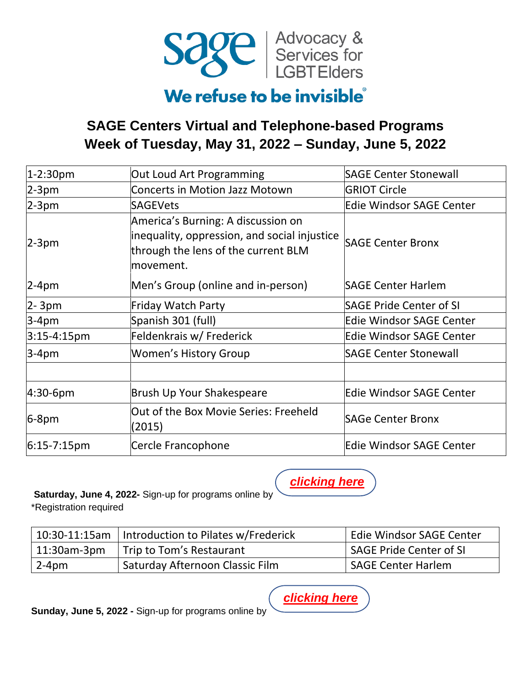

## We refuse to be invisible

### **SAGE Centers Virtual and Telephone-based Programs Week of Tuesday, May 31, 2022 – Sunday, June 5, 2022**

| 1-2:30pm        | Out Loud Art Programming                                                                                                               | <b>SAGE Center Stonewall</b>    |
|-----------------|----------------------------------------------------------------------------------------------------------------------------------------|---------------------------------|
| $2-3pm$         | <b>Concerts in Motion Jazz Motown</b>                                                                                                  | <b>GRIOT Circle</b>             |
| $2-3pm$         | <b>SAGEVets</b>                                                                                                                        | <b>Edie Windsor SAGE Center</b> |
| $2-3pm$         | America's Burning: A discussion on<br>inequality, oppression, and social injustice<br>through the lens of the current BLM<br>movement. | <b>SAGE Center Bronx</b>        |
| $2-4$ pm        | Men's Group (online and in-person)                                                                                                     | <b>SAGE Center Harlem</b>       |
| 2-3pm           | <b>Friday Watch Party</b>                                                                                                              | <b>SAGE Pride Center of SI</b>  |
| $3-4pm$         | Spanish 301 (full)                                                                                                                     | <b>Edie Windsor SAGE Center</b> |
| $3:15-4:15pm$   | Feldenkrais w/ Frederick                                                                                                               | <b>Edie Windsor SAGE Center</b> |
| $3-4pm$         | Women's History Group                                                                                                                  | <b>SAGE Center Stonewall</b>    |
| $ 4:30-6$ pm    | Brush Up Your Shakespeare                                                                                                              | <b>Edie Windsor SAGE Center</b> |
| $6-8pm$         | Out of the Box Movie Series: Freeheld<br>(2015)                                                                                        | <b>SAGe Center Bronx</b>        |
| $ 6:15-7:15$ pm | Cercle Francophone                                                                                                                     | <b>Edie Windsor SAGE Center</b> |

#### **Saturday, June 4, 2022-** Sign-up for programs online by

\*Registration required

| 10:30-11:15am | Introduction to Pilates w/Frederick      | <b>Edie Windsor SAGE Center</b> |
|---------------|------------------------------------------|---------------------------------|
|               | ' 11:30am-3pm   Trip to Tom's Restaurant | <b>SAGE Pride Center of SI</b>  |
| $2-4pm$       | Saturday Afternoon Classic Film          | <b>SAGE Center Harlem</b>       |

**Sunday, June 5, 2022 -** Sign-up for programs online by

*[clicking here](https://app.smartsheet.com/b/form/d6c137f59f6044ad8d03ec92f45a9c1c)*

*[clicking here](https://app.smartsheet.com/b/form/d6c137f59f6044ad8d03ec92f45a9c1c)*